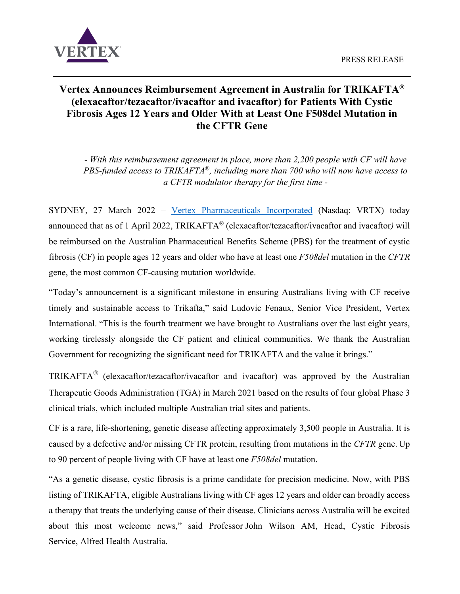

# **Vertex Announces Reimbursement Agreement in Australia for TRIKAFTA® (elexacaftor/tezacaftor/ivacaftor and ivacaftor) for Patients With Cystic Fibrosis Ages 12 Years and Older With at Least One F508del Mutation in the CFTR Gene**

*- With this reimbursement agreement in place, more than 2,200 people with CF will have PBS-funded access to TRIKAFTA*®*, including more than 700 who will now have access to a CFTR modulator therapy for the first time -*

SYDNEY, 27 March 2022 – [Vertex Pharmaceuticals](https://global.vrtx.com/) Incorporated (Nasdaq: VRTX) today announced that as of 1 April 2022, TRIKAFTA® (elexacaftor/tezacaftor/ivacaftor and ivacaftor*)* will be reimbursed on the Australian Pharmaceutical Benefits Scheme (PBS) for the treatment of cystic fibrosis (CF) in people ages 12 years and older who have at least one *F508del* mutation in the *CFTR*  gene, the most common CF-causing mutation worldwide.

"Today's announcement is a significant milestone in ensuring Australians living with CF receive timely and sustainable access to Trikafta," said Ludovic Fenaux, Senior Vice President, Vertex International. "This is the fourth treatment we have brought to Australians over the last eight years, working tirelessly alongside the CF patient and clinical communities. We thank the Australian Government for recognizing the significant need for TRIKAFTA and the value it brings."

TRIKAFTA® (elexacaftor/tezacaftor/ivacaftor and ivacaftor) was approved by the Australian Therapeutic Goods Administration (TGA) in March 2021 based on the results of four global Phase 3 clinical trials, which included multiple Australian trial sites and patients.

CF is a rare, life-shortening, genetic disease affecting approximately 3,500 people in Australia. It is caused by a defective and/or missing CFTR protein, resulting from mutations in the *CFTR* gene. Up to 90 percent of people living with CF have at least one *F508del* mutation.

"As a genetic disease, cystic fibrosis is a prime candidate for precision medicine. Now, with PBS listing of TRIKAFTA, eligible Australians living with CF ages 12 years and older can broadly access a therapy that treats the underlying cause of their disease. Clinicians across Australia will be excited about this most welcome news," said Professor John Wilson AM, Head, Cystic Fibrosis Service, Alfred Health Australia.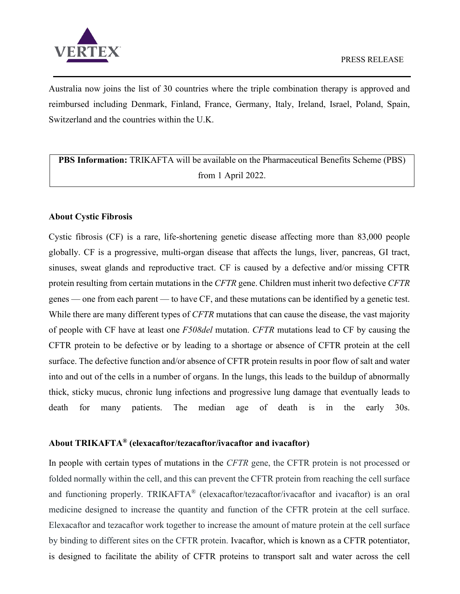

Australia now joins the list of 30 countries where the triple combination therapy is approved and reimbursed including Denmark, Finland, France, Germany, Italy, Ireland, Israel, Poland, Spain, Switzerland and the countries within the U.K.

**PBS Information:** TRIKAFTA will be available on the Pharmaceutical Benefits Scheme (PBS) from 1 April 2022.

## **About Cystic Fibrosis**

Cystic fibrosis (CF) is a rare, life-shortening genetic disease affecting more than 83,000 people globally. CF is a progressive, multi-organ disease that affects the lungs, liver, pancreas, GI tract, sinuses, sweat glands and reproductive tract. CF is caused by a defective and/or missing CFTR protein resulting from certain mutations in the *CFTR* gene. Children must inherit two defective *CFTR* genes — one from each parent — to have CF, and these mutations can be identified by a genetic test. While there are many different types of *CFTR* mutations that can cause the disease, the vast majority of people with CF have at least one *F508del* mutation. *CFTR* mutations lead to CF by causing the CFTR protein to be defective or by leading to a shortage or absence of CFTR protein at the cell surface. The defective function and/or absence of CFTR protein results in poor flow of salt and water into and out of the cells in a number of organs. In the lungs, this leads to the buildup of abnormally thick, sticky mucus, chronic lung infections and progressive lung damage that eventually leads to death for many patients. The median age of death is in the early 30s.

## **About TRIKAFTA® (elexacaftor/tezacaftor/ivacaftor and ivacaftor)**

In people with certain types of mutations in the *CFTR* gene, the CFTR protein is not processed or folded normally within the cell, and this can prevent the CFTR protein from reaching the cell surface and functioning properly. TRIKAFTA® (elexacaftor/tezacaftor/ivacaftor and ivacaftor) is an oral medicine designed to increase the quantity and function of the CFTR protein at the cell surface. Elexacaftor and tezacaftor work together to increase the amount of mature protein at the cell surface by binding to different sites on the CFTR protein. Ivacaftor, which is known as a CFTR potentiator, is designed to facilitate the ability of CFTR proteins to transport salt and water across the cell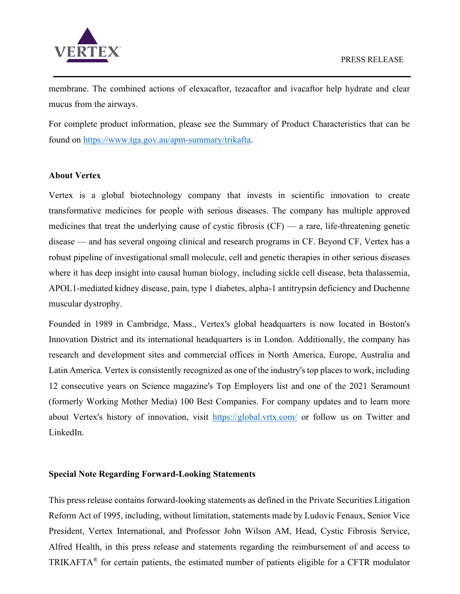

membrane. The combined actions of elexacaftor, tezacaftor and ivacaftor help hydrate and clear mucus from the airways.

For complete product information, please see the Summary of Product Characteristics that can be found on [https://www.tga.gov.au/apm-summary/trikafta.](https://www.tga.gov.au/apm-summary/trikafta)

# **About Vertex**

Vertex is a global biotechnology company that invests in scientific innovation to create transformative medicines for people with serious diseases. The company has multiple approved medicines that treat the underlying cause of cystic fibrosis (CF) — a rare, life-threatening genetic disease — and has several ongoing clinical and research programs in CF. Beyond CF, Vertex has a robust pipeline of investigational small molecule, cell and genetic therapies in other serious diseases where it has deep insight into causal human biology, including sickle cell disease, beta thalassemia, APOL1-mediated kidney disease, pain, type 1 diabetes, alpha-1 antitrypsin deficiency and Duchenne muscular dystrophy.

Founded in 1989 in Cambridge, Mass., Vertex's global headquarters is now located in Boston's Innovation District and its international headquarters is in London. Additionally, the company has research and development sites and commercial offices in North America, Europe, Australia and Latin America. Vertex is consistently recognized as one of the industry's top places to work, including 12 consecutive years on Science magazine's Top Employers list and one of the 2021 Seramount (formerly Working Mother Media) 100 Best Companies. For company updates and to learn more about Vertex's history of innovation, visit <https://global.vrtx.com/> or follow us on Twitter and LinkedIn.

## **Special Note Regarding Forward-Looking Statements**

This press release contains forward-looking statements as defined in the Private Securities Litigation Reform Act of 1995, including, without limitation, statements made by Ludovic Fenaux, Senior Vice President, Vertex International, and Professor John Wilson AM, Head, Cystic Fibrosis Service, Alfred Health, in this press release and statements regarding the reimbursement of and access to TRIKAFTA<sup>®</sup> for certain patients, the estimated number of patients eligible for a CFTR modulator